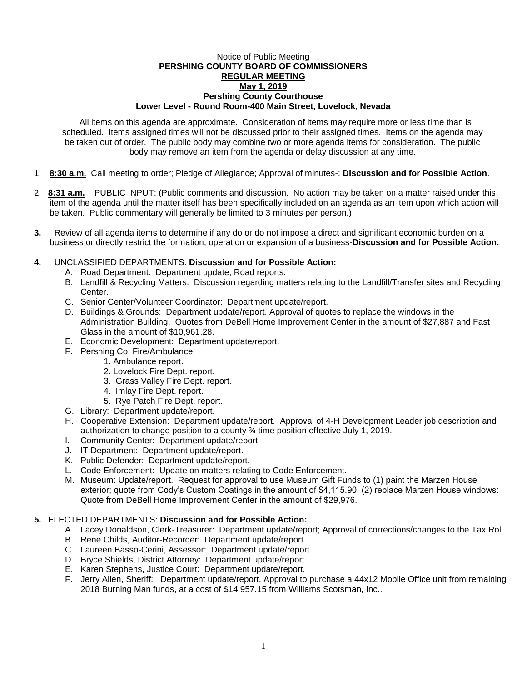## Notice of Public Meeting **PERSHING COUNTY BOARD OF COMMISSIONERS REGULAR MEETING May 1, 2019 Pershing County Courthouse Lower Level - Round Room-400 Main Street, Lovelock, Nevada**

All items on this agenda are approximate. Consideration of items may require more or less time than is scheduled. Items assigned times will not be discussed prior to their assigned times. Items on the agenda may be taken out of order. The public body may combine two or more agenda items for consideration. The public body may remove an item from the agenda or delay discussion at any time.

- 1. **8:30 a.m.** Call meeting to order; Pledge of Allegiance; Approval of minutes-: **Discussion and for Possible Action**.
- 2. **8:31 a.m.** PUBLIC INPUT: (Public comments and discussion. No action may be taken on a matter raised under this item of the agenda until the matter itself has been specifically included on an agenda as an item upon which action will be taken. Public commentary will generally be limited to 3 minutes per person.)
- **3.** Review of all agenda items to determine if any do or do not impose a direct and significant economic burden on a business or directly restrict the formation, operation or expansion of a business-**Discussion and for Possible Action.**

## **4.** UNCLASSIFIED DEPARTMENTS: **Discussion and for Possible Action:**

- A. Road Department: Department update; Road reports.
- B. Landfill & Recycling Matters: Discussion regarding matters relating to the Landfill/Transfer sites and Recycling Center.
- C. Senior Center/Volunteer Coordinator: Department update/report.
- D. Buildings & Grounds: Department update/report. Approval of quotes to replace the windows in the Administration Building. Quotes from DeBell Home Improvement Center in the amount of \$27,887 and Fast Glass in the amount of \$10,961.28.
- E. Economic Development: Department update/report.
- F. Pershing Co. Fire/Ambulance:
	- 1. Ambulance report.
		- 2. Lovelock Fire Dept. report.
		- 3. Grass Valley Fire Dept. report.
		- 4. Imlay Fire Dept. report.
		- 5. Rye Patch Fire Dept. report.
- G. Library: Department update/report.
- H. Cooperative Extension: Department update/report. Approval of 4-H Development Leader job description and authorization to change position to a county ¾ time position effective July 1, 2019.
- I. Community Center: Department update/report.
- J. IT Department: Department update/report.
- K. Public Defender: Department update/report.
- L. Code Enforcement: Update on matters relating to Code Enforcement.
- M. Museum: Update/report. Request for approval to use Museum Gift Funds to (1) paint the Marzen House exterior; quote from Cody's Custom Coatings in the amount of \$4,115.90, (2) replace Marzen House windows: Quote from DeBell Home Improvement Center in the amount of \$29,976.

## **5.** ELECTED DEPARTMENTS: **Discussion and for Possible Action:**

- A. Lacey Donaldson, Clerk-Treasurer: Department update/report; Approval of corrections/changes to the Tax Roll.
- B. Rene Childs, Auditor-Recorder: Department update/report.
- C. Laureen Basso-Cerini, Assessor: Department update/report.
- D. Bryce Shields, District Attorney: Department update/report.
- E. Karen Stephens, Justice Court: Department update/report.
- F. Jerry Allen, Sheriff: Department update/report. Approval to purchase a 44x12 Mobile Office unit from remaining 2018 Burning Man funds, at a cost of \$14,957.15 from Williams Scotsman, Inc..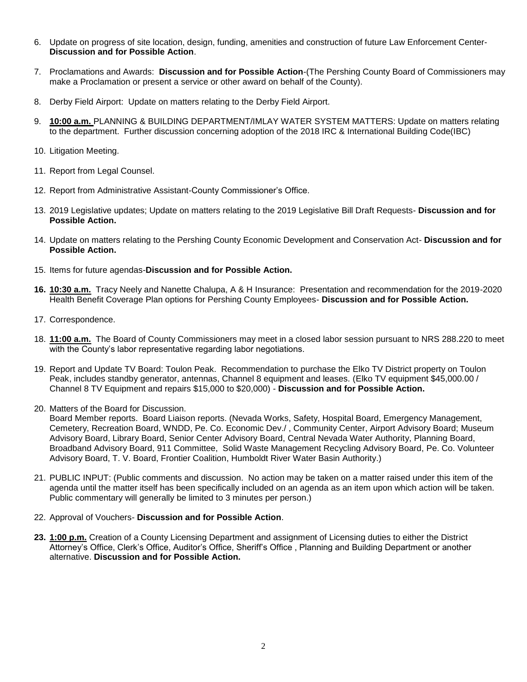- 6. Update on progress of site location, design, funding, amenities and construction of future Law Enforcement Center-**Discussion and for Possible Action**.
- 7. Proclamations and Awards: **Discussion and for Possible Action**-(The Pershing County Board of Commissioners may make a Proclamation or present a service or other award on behalf of the County).
- 8. Derby Field Airport: Update on matters relating to the Derby Field Airport.
- 9. **10:00 a.m.** PLANNING & BUILDING DEPARTMENT/IMLAY WATER SYSTEM MATTERS: Update on matters relating to the department. Further discussion concerning adoption of the 2018 IRC & International Building Code(IBC)
- 10. Litigation Meeting.
- 11. Report from Legal Counsel.
- 12. Report from Administrative Assistant-County Commissioner's Office.
- 13. 2019 Legislative updates; Update on matters relating to the 2019 Legislative Bill Draft Requests- **Discussion and for Possible Action.**
- 14. Update on matters relating to the Pershing County Economic Development and Conservation Act- **Discussion and for Possible Action.**
- 15. Items for future agendas-**Discussion and for Possible Action.**
- **16. 10:30 a.m.** Tracy Neely and Nanette Chalupa, A & H Insurance: Presentation and recommendation for the 2019-2020 Health Benefit Coverage Plan options for Pershing County Employees- **Discussion and for Possible Action.**
- 17. Correspondence.
- 18. **11:00 a.m.** The Board of County Commissioners may meet in a closed labor session pursuant to NRS 288.220 to meet with the County's labor representative regarding labor negotiations.
- 19. Report and Update TV Board: Toulon Peak. Recommendation to purchase the Elko TV District property on Toulon Peak, includes standby generator, antennas, Channel 8 equipment and leases. (Elko TV equipment \$45,000.00 / Channel 8 TV Equipment and repairs \$15,000 to \$20,000) - **Discussion and for Possible Action.**
- 20. Matters of the Board for Discussion.

Board Member reports. Board Liaison reports. (Nevada Works, Safety, Hospital Board, Emergency Management, Cemetery, Recreation Board, WNDD, Pe. Co. Economic Dev./ , Community Center, Airport Advisory Board; Museum Advisory Board, Library Board, Senior Center Advisory Board, Central Nevada Water Authority, Planning Board, Broadband Advisory Board, 911 Committee, Solid Waste Management Recycling Advisory Board, Pe. Co. Volunteer Advisory Board, T. V. Board, Frontier Coalition, Humboldt River Water Basin Authority.)

- 21. PUBLIC INPUT: (Public comments and discussion. No action may be taken on a matter raised under this item of the agenda until the matter itself has been specifically included on an agenda as an item upon which action will be taken. Public commentary will generally be limited to 3 minutes per person.)
- 22. Approval of Vouchers- **Discussion and for Possible Action**.
- **23. 1:00 p.m.** Creation of a County Licensing Department and assignment of Licensing duties to either the District Attorney's Office, Clerk's Office, Auditor's Office, Sheriff's Office , Planning and Building Department or another alternative. **Discussion and for Possible Action.**